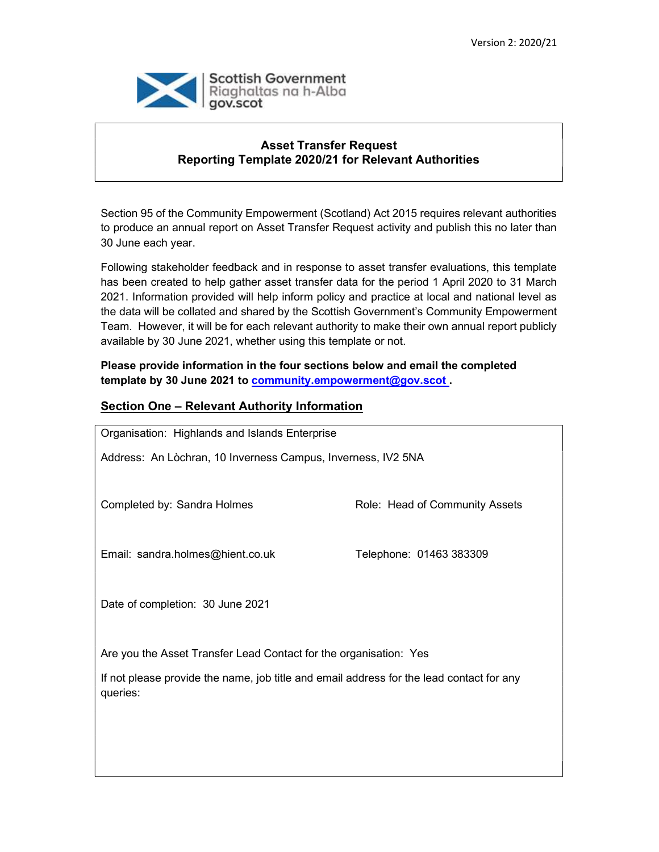

### Asset Transfer Request Reporting Template 2020/21 for Relevant Authorities

Section 95 of the Community Empowerment (Scotland) Act 2015 requires relevant authorities to produce an annual report on Asset Transfer Request activity and publish this no later than 30 June each year.

Following stakeholder feedback and in response to asset transfer evaluations, this template has been created to help gather asset transfer data for the period 1 April 2020 to 31 March 2021. Information provided will help inform policy and practice at local and national level as the data will be collated and shared by the Scottish Government's Community Empowerment Team. However, it will be for each relevant authority to make their own annual report publicly available by 30 June 2021, whether using this template or not.

Please provide information in the four sections below and email the completed template by 30 June 2021 to community.empowerment@gov.scot

### Section One – Relevant Authority Information

| Organisation: Highlands and Islands Enterprise                                                       |                                |  |  |
|------------------------------------------------------------------------------------------------------|--------------------------------|--|--|
| Address: An Lòchran, 10 Inverness Campus, Inverness, IV2 5NA                                         |                                |  |  |
|                                                                                                      |                                |  |  |
| Completed by: Sandra Holmes                                                                          | Role: Head of Community Assets |  |  |
|                                                                                                      |                                |  |  |
|                                                                                                      |                                |  |  |
| Email: sandra.holmes@hient.co.uk                                                                     | Telephone: 01463 383309        |  |  |
|                                                                                                      |                                |  |  |
| Date of completion: 30 June 2021                                                                     |                                |  |  |
|                                                                                                      |                                |  |  |
|                                                                                                      |                                |  |  |
| Are you the Asset Transfer Lead Contact for the organisation: Yes                                    |                                |  |  |
| If not please provide the name, job title and email address for the lead contact for any<br>queries: |                                |  |  |
|                                                                                                      |                                |  |  |
|                                                                                                      |                                |  |  |
|                                                                                                      |                                |  |  |
|                                                                                                      |                                |  |  |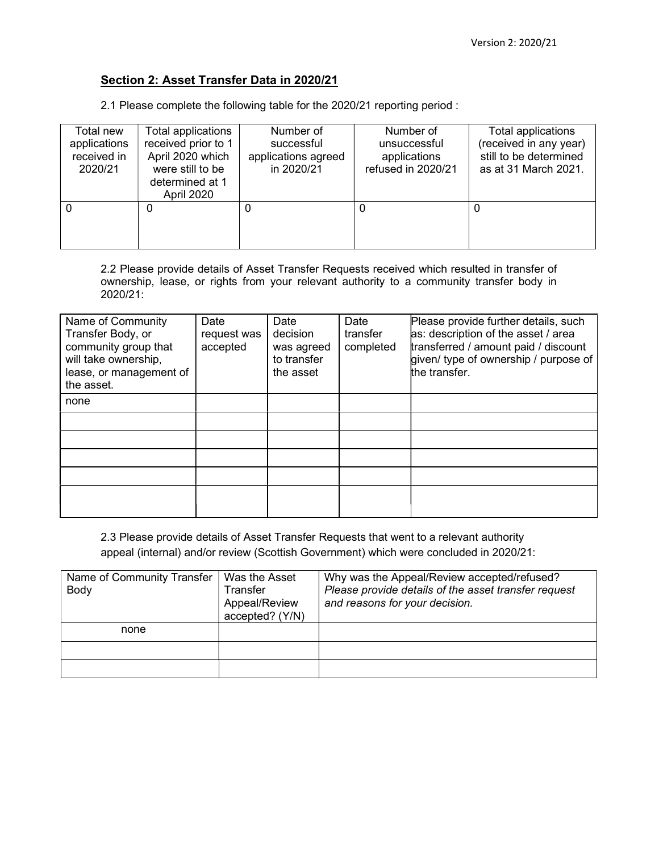# Section 2: Asset Transfer Data in 2020/21

2.1 Please complete the following table for the 2020/21 reporting period :

| Total new    | Total applications  | Number of           | Number of          | Total applications     |
|--------------|---------------------|---------------------|--------------------|------------------------|
| applications | received prior to 1 | successful          | unsuccessful       | (received in any year) |
| received in  | April 2020 which    | applications agreed | applications       | still to be determined |
| 2020/21      | were still to be    | in 2020/21          | refused in 2020/21 | as at 31 March 2021.   |
|              | determined at 1     |                     |                    |                        |
|              | April 2020          |                     |                    |                        |
|              | 0                   | 0                   | 0                  |                        |
|              |                     |                     |                    |                        |
|              |                     |                     |                    |                        |
|              |                     |                     |                    |                        |

2.2 Please provide details of Asset Transfer Requests received which resulted in transfer of ownership, lease, or rights from your relevant authority to a community transfer body in 2020/21:

| Name of Community       | Date        | Date        | Date      | Please provide further details, such  |
|-------------------------|-------------|-------------|-----------|---------------------------------------|
| Transfer Body, or       | request was | decision    | transfer  | as: description of the asset / area   |
| community group that    | accepted    | was agreed  | completed | transferred / amount paid / discount  |
| will take ownership,    |             | to transfer |           | given/ type of ownership / purpose of |
| lease, or management of |             | the asset   |           | the transfer.                         |
| the asset.              |             |             |           |                                       |
| none                    |             |             |           |                                       |
|                         |             |             |           |                                       |
|                         |             |             |           |                                       |
|                         |             |             |           |                                       |
|                         |             |             |           |                                       |
|                         |             |             |           |                                       |
|                         |             |             |           |                                       |

2.3 Please provide details of Asset Transfer Requests that went to a relevant authority appeal (internal) and/or review (Scottish Government) which were concluded in 2020/21:

| Name of Community Transfer<br>Body | Was the Asset<br>Transfer<br>Appeal/Review<br>accepted? (Y/N) | Why was the Appeal/Review accepted/refused?<br>Please provide details of the asset transfer request<br>and reasons for your decision. |
|------------------------------------|---------------------------------------------------------------|---------------------------------------------------------------------------------------------------------------------------------------|
| none                               |                                                               |                                                                                                                                       |
|                                    |                                                               |                                                                                                                                       |
|                                    |                                                               |                                                                                                                                       |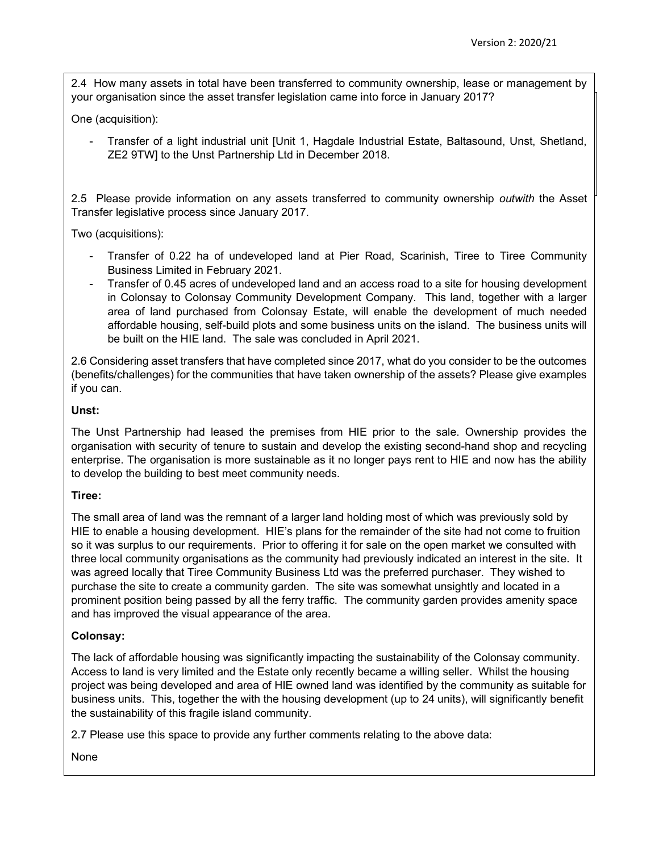2.4 How many assets in total have been transferred to community ownership, lease or management by your organisation since the asset transfer legislation came into force in January 2017?

One (acquisition):

- Transfer of a light industrial unit [Unit 1, Hagdale Industrial Estate, Baltasound, Unst, Shetland, ZE2 9TW] to the Unst Partnership Ltd in December 2018.

2.5 Please provide information on any assets transferred to community ownership *outwith* the Asset Transfer legislative process since January 2017.

Two (acquisitions):

- Transfer of 0.22 ha of undeveloped land at Pier Road, Scarinish, Tiree to Tiree Community Business Limited in February 2021.
- Transfer of 0.45 acres of undeveloped land and an access road to a site for housing development in Colonsay to Colonsay Community Development Company. This land, together with a larger area of land purchased from Colonsay Estate, will enable the development of much needed affordable housing, self-build plots and some business units on the island. The business units will be built on the HIE land. The sale was concluded in April 2021.

2.6 Considering asset transfers that have completed since 2017, what do you consider to be the outcomes (benefits/challenges) for the communities that have taken ownership of the assets? Please give examples if you can.

#### Unst:

The Unst Partnership had leased the premises from HIE prior to the sale. Ownership provides the organisation with security of tenure to sustain and develop the existing second-hand shop and recycling enterprise. The organisation is more sustainable as it no longer pays rent to HIE and now has the ability to develop the building to best meet community needs.

### Tiree:

The small area of land was the remnant of a larger land holding most of which was previously sold by HIE to enable a housing development. HIE's plans for the remainder of the site had not come to fruition so it was surplus to our requirements. Prior to offering it for sale on the open market we consulted with three local community organisations as the community had previously indicated an interest in the site. It was agreed locally that Tiree Community Business Ltd was the preferred purchaser. They wished to purchase the site to create a community garden. The site was somewhat unsightly and located in a prominent position being passed by all the ferry traffic. The community garden provides amenity space and has improved the visual appearance of the area.

### Colonsay:

The lack of affordable housing was significantly impacting the sustainability of the Colonsay community. Access to land is very limited and the Estate only recently became a willing seller. Whilst the housing project was being developed and area of HIE owned land was identified by the community as suitable for business units. This, together the with the housing development (up to 24 units), will significantly benefit the sustainability of this fragile island community.

2.7 Please use this space to provide any further comments relating to the above data:

None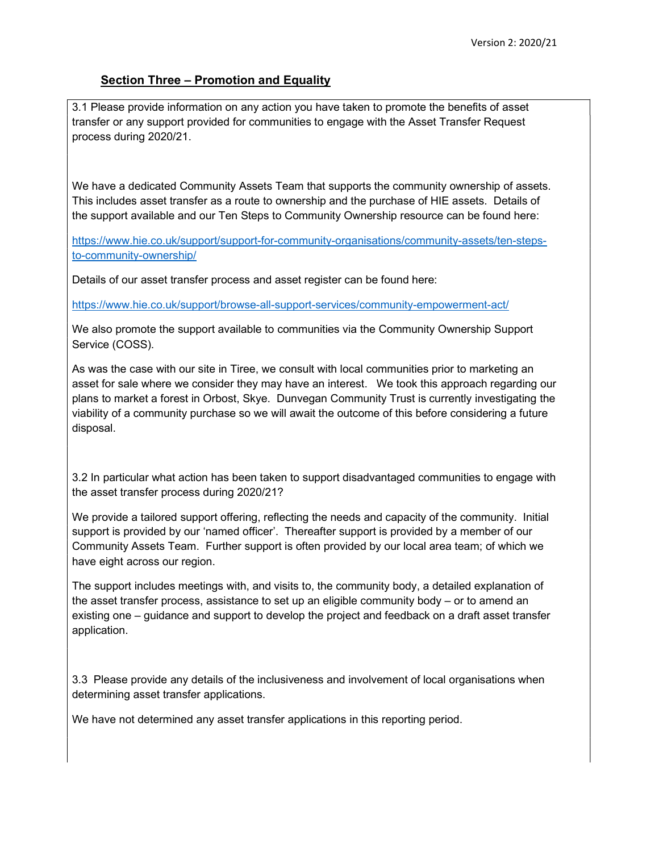### **Section Three - Promotion and Equality**

3.1 Please provide information on any action you have taken to promote the benefits of asset transfer or any support provided for communities to engage with the Asset Transfer Request process during 2020/21.

We have a dedicated Community Assets Team that supports the community ownership of assets. This includes asset transfer as a route to ownership and the purchase of HIE assets. Details of the support available and our Ten Steps to Community Ownership resource can be found here:

https://www.hie.co.uk/support/support-for-community-organisations/community-assets/ten-stepsto-community-ownership/

Details of our asset transfer process and asset register can be found here:

https://www.hie.co.uk/support/browse-all-support-services/community-empowerment-act/

We also promote the support available to communities via the Community Ownership Support Service (COSS).

As was the case with our site in Tiree, we consult with local communities prior to marketing an asset for sale where we consider they may have an interest. We took this approach regarding our plans to market a forest in Orbost, Skye. Dunvegan Community Trust is currently investigating the viability of a community purchase so we will await the outcome of this before considering a future disposal.

3.2 In particular what action has been taken to support disadvantaged communities to engage with the asset transfer process during 2020/21?

We provide a tailored support offering, reflecting the needs and capacity of the community. Initial support is provided by our 'named officer'. Thereafter support is provided by a member of our Community Assets Team. Further support is often provided by our local area team; of which we have eight across our region.

The support includes meetings with, and visits to, the community body, a detailed explanation of the asset transfer process, assistance to set up an eligible community body – or to amend an existing one – guidance and support to develop the project and feedback on a draft asset transfer application.

3.3 Please provide any details of the inclusiveness and involvement of local organisations when determining asset transfer applications.

We have not determined any asset transfer applications in this reporting period.